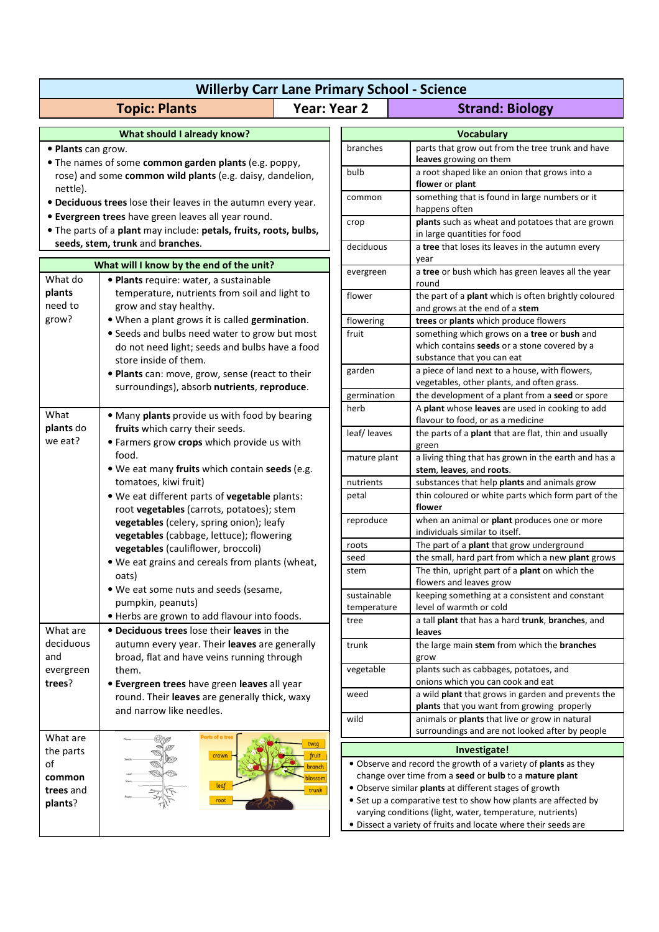| <b>Willerby Carr Lane Primary School - Science</b>                    |                                                                                                                           |       |                                                                |                                                                                                                  |  |
|-----------------------------------------------------------------------|---------------------------------------------------------------------------------------------------------------------------|-------|----------------------------------------------------------------|------------------------------------------------------------------------------------------------------------------|--|
| <b>Year: Year 2</b><br><b>Topic: Plants</b>                           |                                                                                                                           |       | <b>Strand: Biology</b>                                         |                                                                                                                  |  |
| What should I already know?                                           |                                                                                                                           |       |                                                                | <b>Vocabulary</b>                                                                                                |  |
| · Plants can grow.                                                    |                                                                                                                           |       | branches                                                       | parts that grow out from the tree trunk and have                                                                 |  |
| • The names of some common garden plants (e.g. poppy,                 |                                                                                                                           |       | bulb                                                           | leaves growing on them<br>a root shaped like an onion that grows into a                                          |  |
| rose) and some common wild plants (e.g. daisy, dandelion,<br>nettle). |                                                                                                                           |       |                                                                | flower or plant                                                                                                  |  |
| • Deciduous trees lose their leaves in the autumn every year.         |                                                                                                                           |       | common                                                         | something that is found in large numbers or it<br>happens often                                                  |  |
| <b>• Evergreen trees</b> have green leaves all year round.            |                                                                                                                           |       | crop                                                           | plants such as wheat and potatoes that are grown                                                                 |  |
| . The parts of a plant may include: petals, fruits, roots, bulbs,     |                                                                                                                           |       |                                                                | in large quantities for food                                                                                     |  |
| seeds, stem, trunk and branches.                                      |                                                                                                                           |       | deciduous                                                      | a tree that loses its leaves in the autumn every                                                                 |  |
| What will I know by the end of the unit?                              |                                                                                                                           |       | evergreen                                                      | year<br>a tree or bush which has green leaves all the year                                                       |  |
| What do                                                               | · Plants require: water, a sustainable                                                                                    |       |                                                                | round                                                                                                            |  |
| plants<br>need to                                                     | temperature, nutrients from soil and light to<br>grow and stay healthy.<br>. When a plant grows it is called germination. |       | flower                                                         | the part of a plant which is often brightly coloured                                                             |  |
| grow?                                                                 |                                                                                                                           |       | flowering                                                      | and grows at the end of a stem<br>trees or plants which produce flowers                                          |  |
|                                                                       | • Seeds and bulbs need water to grow but most                                                                             |       | fruit                                                          | something which grows on a tree or bush and                                                                      |  |
|                                                                       | do not need light; seeds and bulbs have a food                                                                            |       |                                                                | which contains seeds or a stone covered by a                                                                     |  |
|                                                                       | store inside of them.                                                                                                     |       |                                                                | substance that you can eat<br>a piece of land next to a house, with flowers,                                     |  |
|                                                                       | . Plants can: move, grow, sense (react to their                                                                           |       | garden                                                         | vegetables, other plants, and often grass.                                                                       |  |
|                                                                       | surroundings), absorb nutrients, reproduce.                                                                               |       | germination                                                    | the development of a plant from a seed or spore                                                                  |  |
| What                                                                  | . Many plants provide us with food by bearing                                                                             |       | herb                                                           | A plant whose leaves are used in cooking to add                                                                  |  |
| plants do                                                             | fruits which carry their seeds.                                                                                           |       | leaf/leaves                                                    | flavour to food, or as a medicine<br>the parts of a plant that are flat, thin and usually                        |  |
| we eat?                                                               | • Farmers grow crops which provide us with                                                                                |       |                                                                | green                                                                                                            |  |
|                                                                       | food.                                                                                                                     |       | mature plant                                                   | a living thing that has grown in the earth and has a                                                             |  |
|                                                                       | . We eat many fruits which contain seeds (e.g.                                                                            |       |                                                                | stem, leaves, and roots.                                                                                         |  |
|                                                                       | tomatoes, kiwi fruit)<br>. We eat different parts of vegetable plants:                                                    |       | nutrients<br>petal                                             | substances that help plants and animals grow<br>thin coloured or white parts which form part of the              |  |
|                                                                       | root vegetables (carrots, potatoes); stem                                                                                 |       |                                                                | flower                                                                                                           |  |
|                                                                       | vegetables (celery, spring onion); leafy                                                                                  |       | reproduce                                                      | when an animal or plant produces one or more                                                                     |  |
|                                                                       | vegetables (cabbage, lettuce); flowering                                                                                  |       | roots                                                          | individuals similar to itself.<br>The part of a plant that grow underground                                      |  |
|                                                                       | vegetables (cauliflower, broccoli)                                                                                        |       | seed                                                           | the small, hard part from which a new plant grows                                                                |  |
|                                                                       | . We eat grains and cereals from plants (wheat,<br>oats)                                                                  |       | stem                                                           | The thin, upright part of a plant on which the                                                                   |  |
|                                                                       | . We eat some nuts and seeds (sesame,                                                                                     |       |                                                                | flowers and leaves grow                                                                                          |  |
|                                                                       | pumpkin, peanuts)                                                                                                         |       | sustainable<br>temperature                                     | keeping something at a consistent and constant<br>level of warmth or cold                                        |  |
|                                                                       | . Herbs are grown to add flavour into foods.                                                                              |       | tree                                                           | a tall plant that has a hard trunk, branches, and                                                                |  |
| What are                                                              | . Deciduous trees lose their leaves in the                                                                                |       |                                                                | leaves                                                                                                           |  |
| deciduous<br>and                                                      | autumn every year. Their leaves are generally<br>broad, flat and have veins running through                               |       | trunk                                                          | the large main stem from which the branches                                                                      |  |
| evergreen                                                             | them.                                                                                                                     |       | vegetable                                                      | grow<br>plants such as cabbages, potatoes, and                                                                   |  |
| trees?                                                                | • Evergreen trees have green leaves all year                                                                              |       |                                                                | onions which you can cook and eat                                                                                |  |
|                                                                       | round. Their leaves are generally thick, waxy                                                                             |       | weed                                                           | a wild plant that grows in garden and prevents the                                                               |  |
|                                                                       | and narrow like needles.                                                                                                  |       | wild                                                           | plants that you want from growing properly<br>animals or plants that live or grow in natural                     |  |
| What are                                                              | Parts of a tr                                                                                                             |       |                                                                | surroundings and are not looked after by people                                                                  |  |
| the parts                                                             | twig<br>fruit<br>crown<br>branch                                                                                          |       | Investigate!                                                   |                                                                                                                  |  |
| of                                                                    |                                                                                                                           |       | • Observe and record the growth of a variety of plants as they |                                                                                                                  |  |
| common                                                                | olossom<br>leaf                                                                                                           |       |                                                                | change over time from a seed or bulb to a mature plant<br>. Observe similar plants at different stages of growth |  |
| trees and                                                             | root                                                                                                                      | trunk |                                                                | • Set up a comparative test to show how plants are affected by                                                   |  |
| plants?                                                               |                                                                                                                           |       | varying conditions (light, water, temperature, nutrients)      |                                                                                                                  |  |
|                                                                       |                                                                                                                           |       |                                                                | · Dissect a variety of fruits and locate where their seeds are                                                   |  |